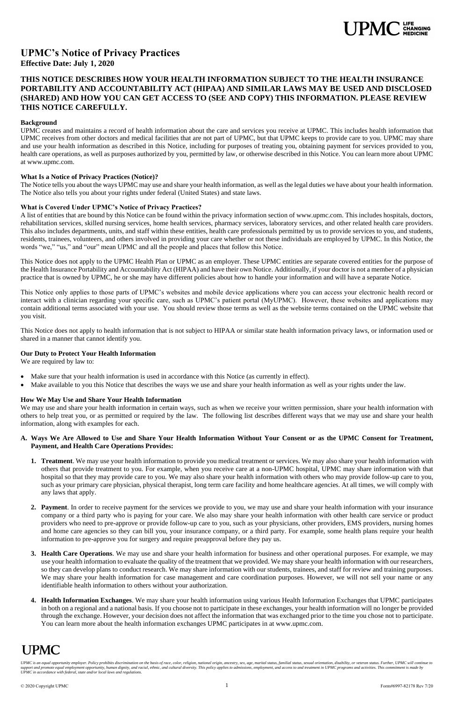UPMC is an equal opportunity employer. Policy prohibits discrimination on the basis of race, color, religion, national origin, ancestry, sex, age, marital status, familial status, sexual orientation, disability, or veteran support and promote equal employment opportunity, human dignity, and racial, ethnic, and cultural diversity. This policy applies to admissions, employment, and access to and treatment in UPMC programs and activities. This *UPMC in accordance with federal, state and/or local laws and regulations.*



# **UPMC's Notice of Privacy Practices Effective Date: July 1, 2020**

## **THIS NOTICE DESCRIBES HOW YOUR HEALTH INFORMATION SUBJECT TO THE HEALTH INSURANCE PORTABILITY AND ACCOUNTABILITY ACT (HIPAA) AND SIMILAR LAWS MAY BE USED AND DISCLOSED (SHARED) AND HOW YOU CAN GET ACCESS TO (SEE AND COPY) THIS INFORMATION. PLEASE REVIEW THIS NOTICE CAREFULLY.**

#### **Background**

UPMC creates and maintains a record of health information about the care and services you receive at UPMC. This includes health information that UPMC receives from other doctors and medical facilities that are not part of UPMC, but that UPMC keeps to provide care to you. UPMC may share and use your health information as described in this Notice, including for purposes of treating you, obtaining payment for services provided to you, health care operations, as well as purposes authorized by you, permitted by law, or otherwise described in this Notice. You can learn more about UPMC at www.upmc.com.

#### **What Is a Notice of Privacy Practices (Notice)?**

The Notice tells you about the ways UPMC may use and share your health information, as well as the legal duties we have about your health information. The Notice also tells you about your rights under federal (United States) and state laws.

## **What is Covered Under UPMC's Notice of Privacy Practices?**

A list of entities that are bound by this Notice can be found within the privacy information section of www.upmc.com. This includes hospitals, doctors, rehabilitation services, skilled nursing services, home health services, pharmacy services, laboratory services, and other related health care providers. This also includes departments, units, and staff within these entities, health care professionals permitted by us to provide services to you, and students, residents, trainees, volunteers, and others involved in providing your care whether or not these individuals are employed by UPMC. In this Notice, the words "we," "us," and "our" mean UPMC and all the people and places that follow this Notice.

This Notice does not apply to the UPMC Health Plan or UPMC as an employer. These UPMC entities are separate covered entities for the purpose of the Health Insurance Portability and Accountability Act (HIPAA) and have their own Notice. Additionally, if your doctor is not a member of a physician practice that is owned by UPMC, he or she may have different policies about how to handle your information and will have a separate Notice.

This Notice only applies to those parts of UPMC's websites and mobile device applications where you can access your electronic health record or interact with a clinician regarding your specific care, such as UPMC's patient portal (MyUPMC). However, these websites and applications may contain additional terms associated with your use. You should review those terms as well as the website terms contained on the UPMC website that you visit.

This Notice does not apply to health information that is not subject to HIPAA or similar state health information privacy laws, or information used or shared in a manner that cannot identify you.

#### **Our Duty to Protect Your Health Information**

We are required by law to:

- Make sure that your health information is used in accordance with this Notice (as currently in effect).
- Make available to you this Notice that describes the ways we use and share your health information as well as your rights under the law.

#### **How We May Use and Share Your Health Information**

We may use and share your health information in certain ways, such as when we receive your written permission, share your health information with others to help treat you, or as permitted or required by the law. The following list describes different ways that we may use and share your health information, along with examples for each.

#### **A. Ways We Are Allowed to Use and Share Your Health Information Without Your Consent or as the UPMC Consent for Treatment, Payment, and Health Care Operations Provides:**

- **1. Treatment**. We may use your health information to provide you medical treatment or services. We may also share your health information with others that provide treatment to you. For example, when you receive care at a non-UPMC hospital, UPMC may share information with that hospital so that they may provide care to you. We may also share your health information with others who may provide follow-up care to you, such as your primary care physician, physical therapist, long term care facility and home healthcare agencies. At all times, we will comply with any laws that apply.
- **2. Payment**. In order to receive payment for the services we provide to you, we may use and share your health information with your insurance

company or a third party who is paying for your care. We also may share your health information with other health care service or product providers who need to pre-approve or provide follow-up care to you, such as your physicians, other providers, EMS providers, nursing homes and home care agencies so they can bill you, your insurance company, or a third party. For example, some health plans require your health information to pre-approve you for surgery and require preapproval before they pay us.

- **3. Health Care Operations**. We may use and share your health information for business and other operational purposes. For example, we may use your health information to evaluate the quality of the treatment that we provided. We may share your health information with our researchers, so they can develop plans to conduct research. We may share information with our students, trainees, and staff for review and training purposes. We may share your health information for case management and care coordination purposes. However, we will not sell your name or any identifiable health information to others without your authorization.
- **4. Health Information Exchanges**. We may share your health information using various Health Information Exchanges that UPMC participates in both on a regional and a national basis. If you choose not to participate in these exchanges, your health information will no longer be provided through the exchange. However, your decision does not affect the information that was exchanged prior to the time you chose not to participate. You can learn more about the health information exchanges UPMC participates in at www.upmc.com.

# **UPMC**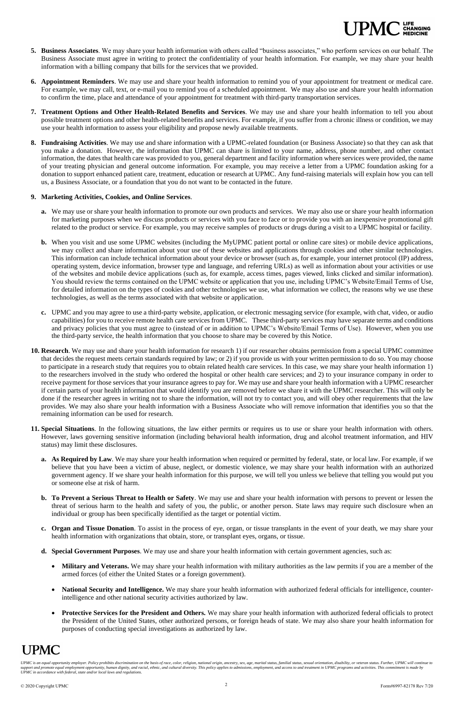UPMC is an equal opportunity employer. Policy prohibits discrimination on the basis of race, color, religion, national origin, ancestry, sex, age, marital status, familial status, sexual orientation, disability, or veteran t and promote equal employment opportunity, human dignity, and racial, ethnic, and cultural diversity. This policy applies to admissions, employment, and access to and treatment in UPMC programs and activities. This commit *UPMC in accordance with federal, state and/or local laws and regulations.*



- **5. Business Associates**. We may share your health information with others called "business associates," who perform services on our behalf. The Business Associate must agree in writing to protect the confidentiality of your health information. For example, we may share your health information with a billing company that bills for the services that we provided.
- **6. Appointment Reminders**. We may use and share your health information to remind you of your appointment for treatment or medical care. For example, we may call, text, or e-mail you to remind you of a scheduled appointment. We may also use and share your health information to confirm the time, place and attendance of your appointment for treatment with third-party transportation services.
- **7. Treatment Options and Other Health-Related Benefits and Services**. We may use and share your health information to tell you about possible treatment options and other health-related benefits and services. For example, if you suffer from a chronic illness or condition, we may use your health information to assess your eligibility and propose newly available treatments.
- **8. Fundraising Activities**. We may use and share information with a UPMC-related foundation (or Business Associate) so that they can ask that you make a donation. However, the information that UPMC can share is limited to your name, address, phone number, and other contact information, the dates that health care was provided to you, general department and facility information where services were provided, the name of your treating physician and general outcome information. For example, you may receive a letter from a UPMC foundation asking for a donation to support enhanced patient care, treatment, education or research at UPMC. Any fund-raising materials will explain how you can tell us, a Business Associate, or a foundation that you do not want to be contacted in the future.

#### **9. Marketing Activities, Cookies, and Online Services**.

- **a.** We may use or share your health information to promote our own products and services. We may also use or share your health information for marketing purposes when we discuss products or services with you face to face or to provide you with an inexpensive promotional gift related to the product or service. For example, you may receive samples of products or drugs during a visit to a UPMC hospital or facility.
- **b.** When you visit and use some UPMC websites (including the MyUPMC patient portal or online care sites) or mobile device applications, we may collect and share information about your use of these websites and applications through cookies and other similar technologies. This information can include technical information about your device or browser (such as, for example, your internet protocol (IP) address, operating system, device information, browser type and language, and referring URLs) as well as information about your activities or use of the websites and mobile device applications (such as, for example, access times, pages viewed, links clicked and similar information). You should review the terms contained on the UPMC website or application that you use, including UPMC's Website/Email Terms of Use, for detailed information on the types of cookies and other technologies we use, what information we collect, the reasons why we use these technologies, as well as the terms associated with that website or application.
- **c.** UPMC and you may agree to use a third-party website, application, or electronic messaging service (for example, with chat, video, or audio capabilities) for you to receive remote health care services from UPMC. These third-party services may have separate terms and conditions and privacy policies that you must agree to (instead of or in addition to UPMC's Website/Email Terms of Use). However, when you use the third-party service, the health information that you choose to share may be covered by this Notice.
- **10. Research**. We may use and share your health information for research 1) if our researcher obtains permission from a special UPMC committee that decides the request meets certain standards required by law; or 2) if you provide us with your written permission to do so. You may choose to participate in a research study that requires you to obtain related health care services. In this case, we may share your health information 1) to the researchers involved in the study who ordered the hospital or other health care services; and 2) to your insurance company in order to receive payment for those services that your insurance agrees to pay for. We may use and share your health information with a UPMC researcher if certain parts of your health information that would identify you are removed before we share it with the UPMC researcher. This will only be done if the researcher agrees in writing not to share the information, will not try to contact you, and will obey other requirements that the law provides. We may also share your health information with a Business Associate who will remove information that identifies you so that the remaining information can be used for research.
- **11. Special Situations**. In the following situations, the law either permits or requires us to use or share your health information with others. However, laws governing sensitive information (including behavioral health information, drug and alcohol treatment information, and HIV status) may limit these disclosures.
	- **a. As Required by Law**. We may share your health information when required or permitted by federal, state, or local law. For example, if we believe that you have been a victim of abuse, neglect, or domestic violence, we may share your health information with an authorized government agency. If we share your health information for this purpose, we will tell you unless we believe that telling you would put you or someone else at risk of harm.
	- **b. To Prevent a Serious Threat to Health or Safety**. We may use and share your health information with persons to prevent or lessen the threat of serious harm to the health and safety of you, the public, or another person. State laws may require such disclosure when an individual or group has been specifically identified as the target or potential victim.

- **c. Organ and Tissue Donation**. To assist in the process of eye, organ, or tissue transplants in the event of your death, we may share your health information with organizations that obtain, store, or transplant eyes, organs, or tissue.
- **d. Special Government Purposes**. We may use and share your health information with certain government agencies, such as:
	- Military and Veterans. We may share your health information with military authorities as the law permits if you are a member of the armed forces (of either the United States or a foreign government).
	- **National Security and Intelligence.** We may share your health information with authorized federal officials for intelligence, counterintelligence and other national security activities authorized by law.
	- **Protective Services for the President and Others.** We may share your health information with authorized federal officials to protect the President of the United States, other authorized persons, or foreign heads of state. We may also share your health information for purposes of conducting special investigations as authorized by law.

# **UPMC**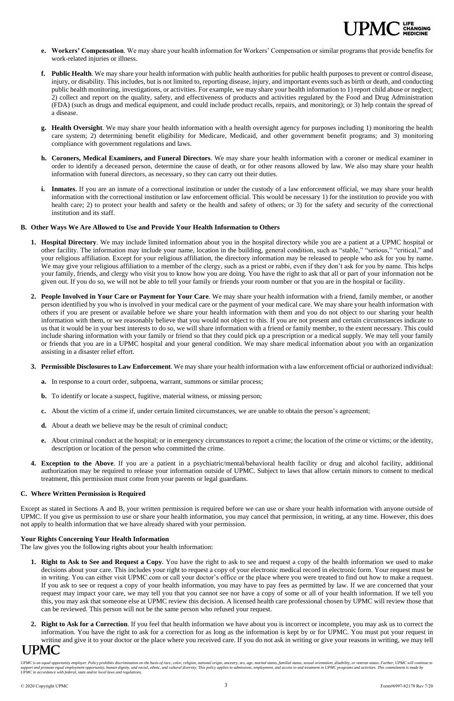UPMC is an equal opportunity employer. Policy prohibits discrimination on the basis of race, color, religion, national origin, ancestry, sex, age, marital status, familial status, sexual orientation, disability, or veteran support and promote equal employment opportunity, human dignity, and racial, ethnic, and cultural diversity. This policy applies to admissions, employment, and access to and treatment in UPMC programs and activities. This *UPMC in accordance with federal, state and/or local laws and regulations.*

- **e. Workers' Compensation**. We may share your health information for Workers' Compensation or similar programs that provide benefits for work-related injuries or illness.
- **f. Public Health**. We may share your health information with public health authorities for public health purposes to prevent or control disease, injury, or disability. This includes, but is not limited to, reporting disease, injury, and important events such as birth or death, and conducting public health monitoring, investigations, or activities. For example, we may share your health information to 1) report child abuse or neglect; 2) collect and report on the quality, safety, and effectiveness of products and activities regulated by the Food and Drug Administration (FDA) (such as drugs and medical equipment, and could include product recalls, repairs, and monitoring); or 3) help contain the spread of a disease.
- **g. Health Oversight**. We may share your health information with a health oversight agency for purposes including 1) monitoring the health care system; 2) determining benefit eligibility for Medicare, Medicaid, and other government benefit programs; and 3) monitoring compliance with government regulations and laws.
- **h. Coroners, Medical Examiners, and Funeral Directors**. We may share your health information with a coroner or medical examiner in order to identify a deceased person, determine the cause of death, or for other reasons allowed by law. We also may share your health information with funeral directors, as necessary, so they can carry out their duties.
- **i. Inmates**. If you are an inmate of a correctional institution or under the custody of a law enforcement official, we may share your health information with the correctional institution or law enforcement official. This would be necessary 1) for the institution to provide you with health care; 2) to protect your health and safety or the health and safety of others; or 3) for the safety and security of the correctional institution and its staff.

## **B. Other Ways We Are Allowed to Use and Provide Your Health Information to Others**

- **1. Right to Ask to See and Request a Copy**. You have the right to ask to see and request a copy of the health information we used to make decisions about your care. This includes your right to request a copy of your electronic medical record in electronic form. Your request must be in writing. You can either visit UPMC.com or call your doctor's office or the place where you were treated to find out how to make a request. If you ask to see or request a copy of your health information, you may have to pay fees as permitted by law. If we are concerned that your request may impact your care, we may tell you that you cannot see nor have a copy of some or all of your health information. If we tell you this, you may ask that someone else at UPMC review this decision. A licensed health care professional chosen by UPMC will review those that can be reviewed. This person will not be the same person who refused your request.
- **2. Right to Ask for a Correction**. If you feel that health information we have about you is incorrect or incomplete, you may ask us to correct the information. You have the right to ask for a correction for as long as the information is kept by or for UPMC. You must put your request in writing and give it to your doctor or the place where you received care. If you do not ask in writing or give your reasons in writing, we may tell **UPMC**
- **1. Hospital Directory**. We may include limited information about you in the hospital directory while you are a patient at a UPMC hospital or other facility. The information may include your name, location in the building, general condition, such as "stable," "serious," "critical," and your religious affiliation. Except for your religious affiliation, the directory information may be released to people who ask for you by name. We may give your religious affiliation to a member of the clergy, such as a priest or rabbi, even if they don't ask for you by name. This helps your family, friends, and clergy who visit you to know how you are doing. You have the right to ask that all or part of your information not be given out. If you do so, we will not be able to tell your family or friends your room number or that you are in the hospital or facility.
- **2. People Involved in Your Care or Payment for Your Care**. We may share your health information with a friend, family member, or another person identified by you who is involved in your medical care or the payment of your medical care. We may share your health information with others if you are present or available before we share your health information with them and you do not object to our sharing your health information with them, or we reasonably believe that you would not object to this. If you are not present and certain circumstances indicate to us that it would be in your best interests to do so, we will share information with a friend or family member, to the extent necessary. This could include sharing information with your family or friend so that they could pick up a prescription or a medical supply. We may tell your family or friends that you are in a UPMC hospital and your general condition. We may share medical information about you with an organization assisting in a disaster relief effort.

#### **3. Permissible Disclosures to Law Enforcement**. We may share your health information with a law enforcement official or authorized individual:

- **a.** In response to a court order, subpoena, warrant, summons or similar process;
- **b.** To identify or locate a suspect, fugitive, material witness, or missing person;
- **c.** About the victim of a crime if, under certain limited circumstances, we are unable to obtain the person's agreement;
- **d.** About a death we believe may be the result of criminal conduct;
- **e.** About criminal conduct at the hospital; or in emergency circumstances to report a crime; the location of the crime or victims; or the identity, description or location of the person who committed the crime.
- **4. Exception to the Above**. If you are a patient in a psychiatric/mental/behavioral health facility or drug and alcohol facility, additional authorization may be required to release your information outside of UPMC. Subject to laws that allow certain minors to consent to medical treatment, this permission must come from your parents or legal guardians.

### **C. Where Written Permission is Required**

Except as stated in Sections A and B, your written permission is required before we can use or share your health information with anyone outside of UPMC. If you give us permission to use or share your health information, you may cancel that permission, in writing, at any time. However, this does not apply to health information that we have already shared with your permission.

### **Your Rights Concerning Your Health Information**

The law gives you the following rights about your health information: